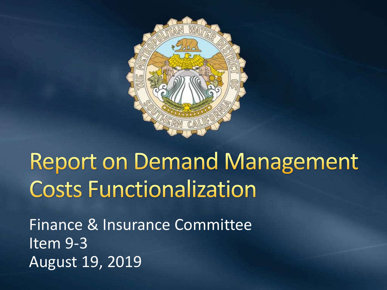

## **Report on Demand Management Costs Functionalization**

Finance & Insurance Committee Item 9-3 August 19, 2019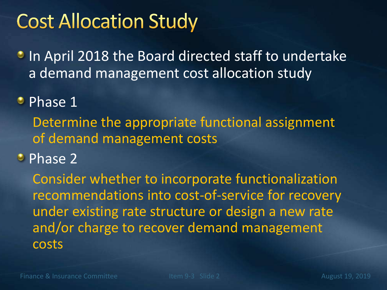## **Cost Allocation Study**

In April 2018 the Board directed staff to undertake a demand management cost allocation study

**• Phase 1** 

Determine the appropriate functional assignment of demand management costs

• Phase 2

Consider whether to incorporate functionalization recommendations into cost-of-service for recovery under existing rate structure or design a new rate and/or charge to recover demand management costs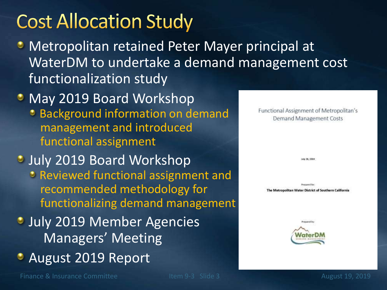## **Cost Allocation Study**

- Metropolitan retained Peter Mayer principal at WaterDM to undertake a demand management cost functionalization study
- May 2019 Board Workshop **• Background information on demand** management and introduced functional assignment
- **July 2019 Board Workshop** Reviewed functional assignment and recommended methodology for functionalizing demand management
- **July 2019 Member Agencies** Managers' Meeting
- **August 2019 Report**

Finance & Insurance Committee Item 9-3 Slide 3 August 19, 2019

**Demand Management Costs** luly 36, 2019 **Romanuel Bar** The Metropolitan Water District of Southern California Prepared by

Functional Assignment of Metropolitan's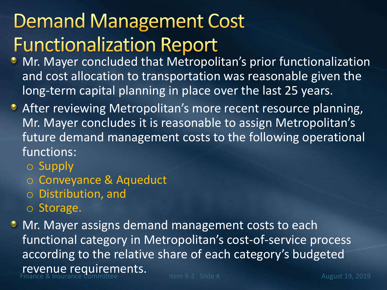## **Demand Management Cost Functionalization Report**

- **Mr. Mayer concluded that Metropolitan's prior functionalization** and cost allocation to transportation was reasonable given the long-term capital planning in place over the last 25 years.
- **After reviewing Metropolitan's more recent resource planning,** Mr. Mayer concludes it is reasonable to assign Metropolitan's future demand management costs to the following operational functions:
	- o Supply
	- o Conveyance & Aqueduct
	- o Distribution, and
	- o Storage.
- Finance & Insurance Committee **Item Properties.**<br>Finance & Insurance Committee **Item 9-3** Slide 4 August 19, 2019 **• Mr. Mayer assigns demand management costs to each** functional category in Metropolitan's cost-of-service process according to the relative share of each category's budgeted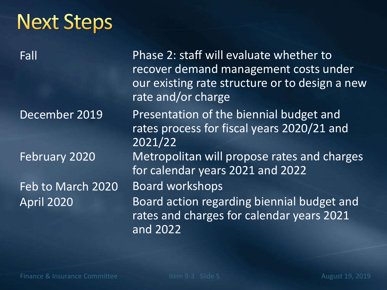| <b>Next Steps</b> |                                                                                                                                                          |
|-------------------|----------------------------------------------------------------------------------------------------------------------------------------------------------|
| $\overline{Fall}$ | Phase 2: staff will evaluate whether to<br>recover demand management costs under<br>our existing rate structure or to design a new<br>rate and/or charge |
| December 2019     | Presentation of the biennial budget and<br>rates process for fiscal years 2020/21 and<br>2021/22                                                         |
| February 2020     | Metropolitan will propose rates and charges<br>for calendar years 2021 and 2022                                                                          |
| Feb to March 2020 | <b>Board workshops</b>                                                                                                                                   |
| <b>April 2020</b> | Board action regarding biennial budget and<br>rates and charges for calendar years 2021<br>and 2022                                                      |